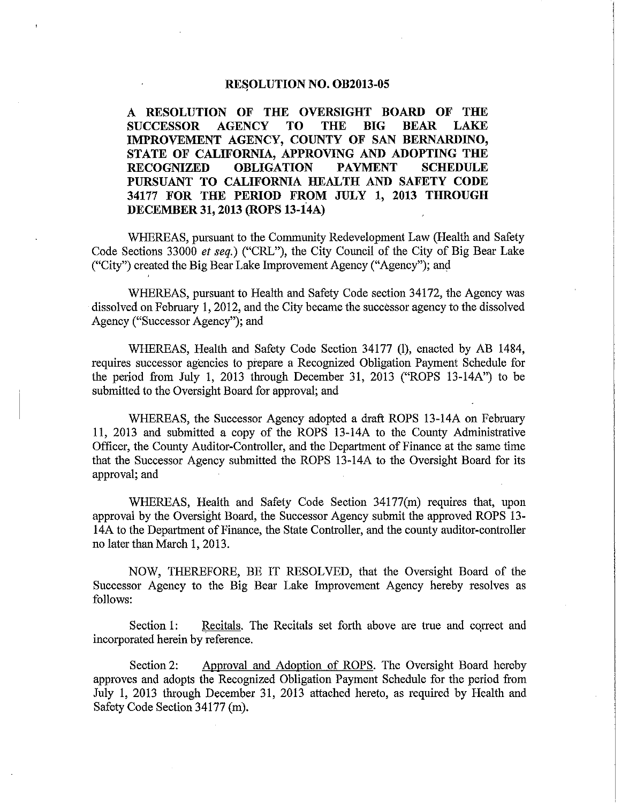# RESOLUTION NO. OB2013-05

A RESOLUTION OF THE OVERSIGHT BOARD OF THE **SUCCESSOR AGENCY TO THE BIG BEAR LAKE** IMPROVEMENT AGENCY, COUNTY OF SAN BERNARDINO, STATE OF CALIFORNIA, APPROVING AND ADOPTING THE **RECOGNIZED OBLIGATION PAYMENT SCHEDULE** PURSUANT TO CALIFORNIA HEALTH AND SAFETY CODE 34177 FOR THE PERIOD FROM JULY 1, 2013 THROUGH DECEMBER 31, 2013 (ROPS 13-14A)

WHEREAS, pursuant to the Community Redevelopment Law (Health and Safety Code Sections 33000 et seq.) ("CRL"), the City Council of the City of Big Bear Lake ("City") created the Big Bear Lake Improvement Agency ("Agency"); and

WHEREAS, pursuant to Health and Safety Code section 34172, the Agency was dissolved on February 1, 2012, and the City became the successor agency to the dissolved Agency ("Successor Agency"); and

WHEREAS, Health and Safety Code Section 34177 (l), enacted by AB 1484, requires successor agencies to prepare a Recognized Obligation Payment Schedule for the period from July 1, 2013 through December 31, 2013 ("ROPS 13-14A") to be submitted to the Oversight Board for approval; and

WHEREAS, the Successor Agency adopted a draft ROPS 13-14A on February 11, 2013 and submitted a copy of the ROPS 13-14A to the County Administrative Officer, the County Auditor-Controller, and the Department of Finance at the same time that the Successor Agency submitted the ROPS 13-14A to the Oversight Board for its approval; and

WHEREAS, Health and Safety Code Section 34177(m) requires that, upon approval by the Oversight Board, the Successor Agency submit the approved ROPS 13-14A to the Department of Finance, the State Controller, and the county auditor-controller no later than March 1, 2013.

NOW, THEREFORE, BE IT RESOLVED, that the Oversight Board of the Successor Agency to the Big Bear Lake Improvement Agency hereby resolves as follows:

Recitals. The Recitals set forth above are true and correct and Section 1: incorporated herein by reference.

Approval and Adoption of ROPS. The Oversight Board hereby Section 2: approves and adopts the Recognized Obligation Payment Schedule for the period from July 1, 2013 through December 31, 2013 attached hereto, as required by Health and Safety Code Section 34177 (m).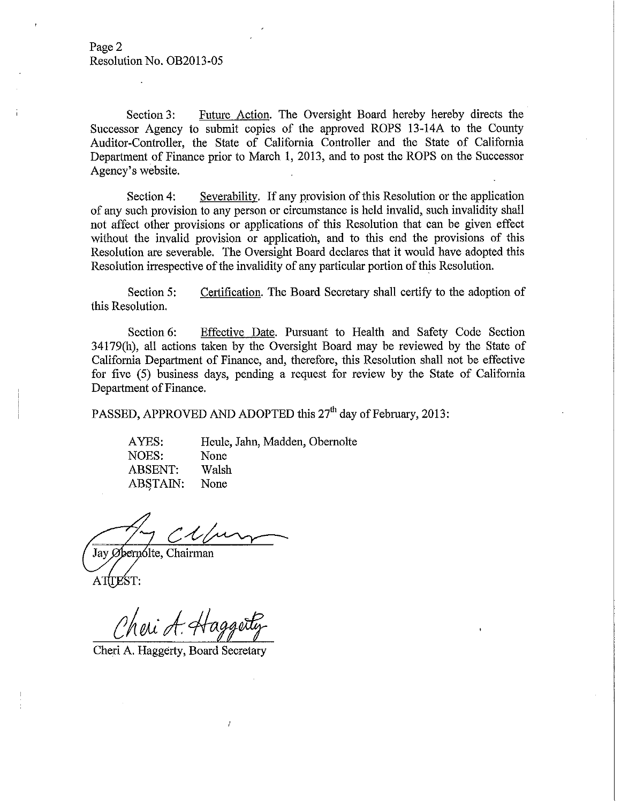Future Action. The Oversight Board hereby hereby directs the Section 3: Successor Agency to submit copies of the approved ROPS 13-14A to the County Auditor-Controller, the State of California Controller and the State of California Department of Finance prior to March 1, 2013, and to post the ROPS on the Successor Agency's website.

Severability. If any provision of this Resolution or the application Section 4: of any such provision to any person or circumstance is held invalid, such invalidity shall not affect other provisions or applications of this Resolution that can be given effect without the invalid provision or application, and to this end the provisions of this Resolution are severable. The Oversight Board declares that it would have adopted this Resolution irrespective of the invalidity of any particular portion of this Resolution.

Certification. The Board Secretary shall certify to the adoption of Section 5: this Resolution.

Section 6: Effective Date. Pursuant to Health and Safety Code Section 34179(h), all actions taken by the Oversight Board may be reviewed by the State of California Department of Finance, and, therefore, this Resolution shall not be effective for five (5) business days, pending a request for review by the State of California Department of Finance.

PASSED, APPROVED AND ADOPTED this 27<sup>th</sup> day of February, 2013:

Heule, Jahn, Madden, Obernolte AYES: None NOES: Walsh **ABSENT: ABSTAIN:** None

Jay Øbernólte, Chairman ATTEST:

Cheri A. Hagger

Cheri A. Haggerty, Board Secretary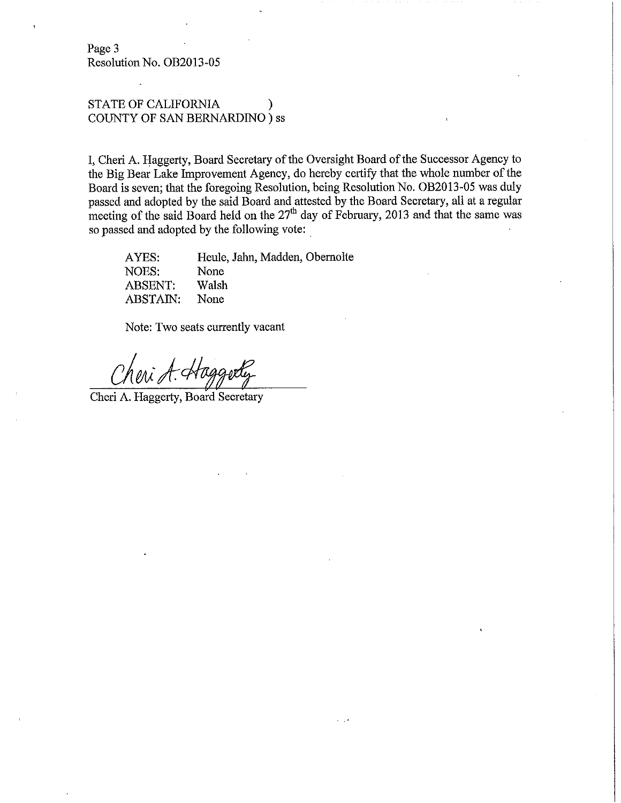Page 3 Resolution No. OB2013-05

# STATE OF CALIFORNIA COUNTY OF SAN BERNARDINO ) ss

I, Cheri A. Haggerty, Board Secretary of the Oversight Board of the Successor Agency to the Big Bear Lake Improvement Agency, do hereby certify that the whole number of the Board is seven; that the foregoing Resolution, being Resolution No. OB2013-05 was duly passed and adopted by the said Board and attested by the Board Secretary, all at a regular meeting of the said Board held on the 27<sup>th</sup> day of February, 2013 and that the same was so passed and adopted by the following vote:

AYES: Heule, Jahn, Madden, Obernolte NOES: None **ABSENT:** Walsh ABSTAIN: None

Note: Two seats currently vacant

Cheri A. Haggerty, Board Secretary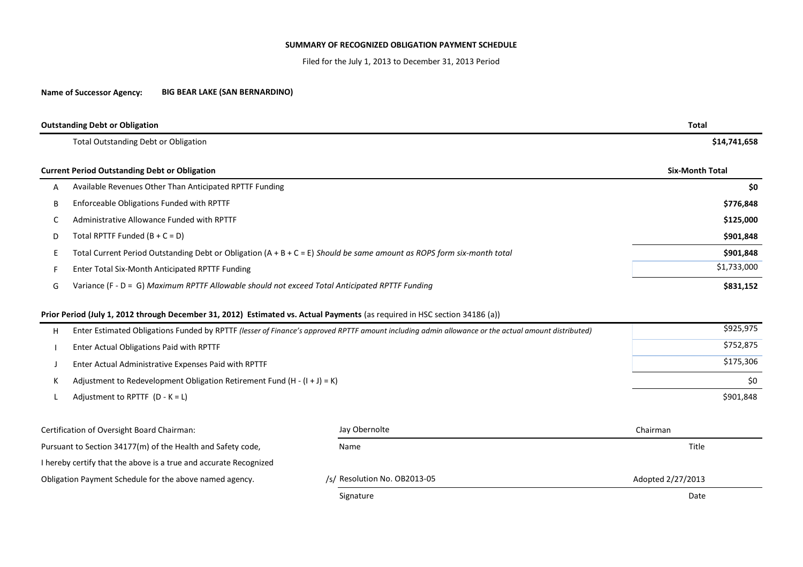### **SUMMARY OF RECOGNIZED OBLIGATION PAYMENT SCHEDULE**

Filed for the July 1, 2013 to December 31, 2013 Period

**Name of Successor Agency: BIG BEAR LAKE (SAN BERNARDINO)**

|    | <b>Outstanding Debt or Obligation</b>                                                                                                              | <b>Total</b>             |                        |  |  |  |  |  |
|----|----------------------------------------------------------------------------------------------------------------------------------------------------|--------------------------|------------------------|--|--|--|--|--|
|    | <b>Total Outstanding Debt or Obligation</b>                                                                                                        |                          | \$14,741,658           |  |  |  |  |  |
|    | <b>Current Period Outstanding Debt or Obligation</b>                                                                                               |                          | <b>Six-Month Total</b> |  |  |  |  |  |
| Α  | Available Revenues Other Than Anticipated RPTTF Funding                                                                                            | \$0                      |                        |  |  |  |  |  |
| B  | Enforceable Obligations Funded with RPTTF                                                                                                          | \$776,848                |                        |  |  |  |  |  |
| C  | Administrative Allowance Funded with RPTTF                                                                                                         | \$125,000                |                        |  |  |  |  |  |
| D  | Total RPTTF Funded $(B + C = D)$                                                                                                                   |                          |                        |  |  |  |  |  |
| E. | Total Current Period Outstanding Debt or Obligation $(A + B + C = E)$ Should be same amount as ROPS form six-month total                           | \$901,848                |                        |  |  |  |  |  |
| F  | Enter Total Six-Month Anticipated RPTTF Funding                                                                                                    | \$1,733,000              |                        |  |  |  |  |  |
| G  | Variance (F - D = G) Maximum RPTTF Allowable should not exceed Total Anticipated RPTTF Funding                                                     | \$831,152                |                        |  |  |  |  |  |
|    | Prior Period (July 1, 2012 through December 31, 2012) Estimated vs. Actual Payments (as required in HSC section 34186 (a))                         |                          |                        |  |  |  |  |  |
| н  | Enter Estimated Obligations Funded by RPTTF (lesser of Finance's approved RPTTF amount including admin allowance or the actual amount distributed) | \$925,975                |                        |  |  |  |  |  |
|    | Enter Actual Obligations Paid with RPTTF                                                                                                           | \$752,875                |                        |  |  |  |  |  |
|    | Enter Actual Administrative Expenses Paid with RPTTF                                                                                               | \$175,306                |                        |  |  |  |  |  |
| К  | Adjustment to Redevelopment Obligation Retirement Fund $(H - (I + J) = K)$                                                                         | \$0                      |                        |  |  |  |  |  |
|    | Adjustment to RPTTF $(D - K = L)$                                                                                                                  |                          | \$901,848              |  |  |  |  |  |
|    | Certification of Oversight Board Chairman:                                                                                                         | Jay Obernolte            | Chairman               |  |  |  |  |  |
|    | Pursuant to Section 34177(m) of the Health and Safety code,                                                                                        | Title                    |                        |  |  |  |  |  |
|    | I hereby certify that the above is a true and accurate Recognized                                                                                  |                          |                        |  |  |  |  |  |
|    | Obligation Payment Schedule for the above named agency.                                                                                            | Resolution No. OB2013-05 | Adopted 2/27/2013      |  |  |  |  |  |
|    |                                                                                                                                                    |                          |                        |  |  |  |  |  |

Signature **Date of the Contract of the Contract of the Contract of the Contract of the Contract of the Contract of the Contract of the Contract of the Contract of the Contract of the Contract of the Contract of the Contrac**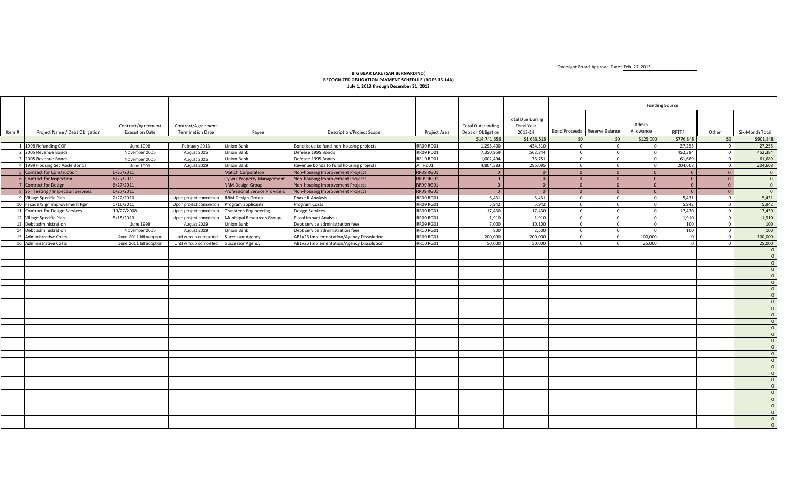Oversight Board Approval Date: Feb. 27, 2013

#### **BIG BEAR LAKE (SAN BERNARDINO) RECOGNIZED OBLIGATION PAYMENT SCHEDULE (ROPS 13-14A) July 1, 2013 through December 31, 2013**

| <b>Total Due During</b><br>Admin<br><b>Total Outstanding</b><br><b>Fiscal Year</b><br>Contract/Agreement<br>Contract/Agreement<br>Bond Proceeds Reserve Balance<br>Allowance<br>RPTTF<br>Six-Month Total<br>Project Name / Debt Obligation<br><b>Termination Date</b><br>Debt or Obligation<br>2013-14<br>Other<br><b>Execution Date</b><br><b>Description/Project Scope</b><br>Item#<br>Payee<br>Project Area<br>\$1,653,513<br>\$125,000<br>\$776,848<br>\$0<br>\$901,848<br>\$14,741,658<br>\$0<br>50<br>434,510<br>1 1998 Refunding COP<br><b>Union Bank</b><br>Bond issue to fund non-housing projects<br><b>RR09 RD01</b><br>1,295,400<br>27,255<br>27,255<br><b>June 1998</b><br>February 2016<br>$\mathbf{0}$<br>$\mathbf{0}$<br>$\Omega$<br>$\Omega$<br>562,844<br>452,384<br>452,384<br>2 2005 Revenue Bonds<br>Defease 1995 Bonds<br><b>RR09 RD01</b><br>7,350,959<br>$\circ$<br>$\overline{0}$<br>November 2005<br>August 2025<br><b>Union Bank</b><br>$\Omega$<br>$\Omega$<br><b>RR10 RD01</b><br>76,751<br>$\Omega$<br>61.689<br>61,689<br>3 2005 Revenue Bonds<br>Defease 1995 Bonds<br>1.002.404<br>$\overline{0}$<br>November 2005<br><b>Union Bank</b><br>August 2025<br>$\Omega$<br>$\Omega$<br>4 1999 Housing Set Aside Bonds<br><b>Union Bank</b><br>All RD01<br>4,804,383<br>286,095<br>$\overline{0}$<br>204,608<br>$\overline{0}$<br>204,608<br>June 1999<br>Revenue bonds to fund housing projects<br>August 2029<br>$\Omega$<br>$\Omega$<br>6/27/2011<br><b>RR09 RG01</b><br>5 Contract for Construction<br><b>Matich Corporation</b><br>Non-housing Improvement Projects<br>$\overline{0}$<br>$\Omega$<br>$\overline{0}$<br>$\overline{0}$<br>$\Omega$<br>$\overline{0}$<br>$\overline{0}$<br>6 Contract for Inspection<br>6/27/2011<br><b>RR09 RG01</b><br>$\overline{0}$<br>$\overline{0}$<br>$\overline{0}$<br>$\overline{0}$<br>$\overline{0}$<br><b>Cylwik Property Management</b><br>Non-housing Improvement Projects<br>$\overline{0}$<br>$\overline{0}$<br>$\overline{0}$<br>6/27/2011<br>$\overline{0}$<br>7 Contract for Design<br><b>RRM Design Group</b><br>Non-housing Improvement Projects<br><b>RR09 RG01</b><br>$\overline{0}$<br>$\overline{0}$<br>$\overline{0}$<br>$\overline{0}$<br>$\overline{0}$<br>$\overline{0}$<br>$\Omega$<br>6/27/2011<br>8 Soil Testing / Inspection Services<br>Professional Service Providers<br>Non-housing Improvement Projects<br><b>RR09 RG01</b><br>$\Omega$<br>$\overline{0}$<br>$\overline{0}$<br>$\overline{0}$<br>$\mathbf{0}$<br>$\overline{0}$<br>$\Omega$<br>$\Omega$<br>2/22/2010<br>5,431<br>5,431<br>5,431<br>9 Village Specific Plan<br><b>RRM Design Group</b><br>Phase II Analysis<br><b>RR09 RG01</b><br>5,431<br>$\overline{0}$<br>$\overline{0}$<br>Upon project completion<br>$\Omega$<br>$\overline{0}$<br>5,942<br>5.942<br>5,942<br>10 Façade/Sign Improvement Pgm<br>5/16/2011<br><b>RR09 RG01</b><br>5,942<br>$\overline{0}$<br>$\mathbf{0}$<br>Upon project completion<br>Program applicants<br>Program Costs<br>$\Omega$<br>$\Omega$<br>17,430<br>11 Contract for Design Services<br>10/27/2008<br>17.430<br>17,430<br>$\overline{0}$<br>17,430<br>$\mathbf{0}$<br><b>RR09 RG01</b><br>Upon project completion<br><b>Transtech Engineering</b><br><b>Design Services</b><br>$\Omega$<br>$\Omega$<br>1,910<br>12 Village Specific Plan<br>5/15/2010<br><b>RR09 RG01</b><br>1,910<br>1,910<br>$\overline{0}$<br>1,910<br>$\mathbf{0}$<br>Upon project completion<br><b>Municipal Resources Group</b><br><b>Fiscal Impact Analysis</b><br>$\Omega$<br>$\Omega$<br>13 Debt administration<br><b>RR09 RG01</b><br>10,100<br>100<br>$\mathbf 0$<br>100<br>August 2029<br><b>Union Bank</b><br>Debt service administration fees<br>7,000<br>$\overline{0}$<br><b>June 1998</b><br>$\Omega$<br>$\mathbf{0}$<br>14 Debt administration<br>Union Bank<br>Debt service administration fees<br><b>RR10 RG01</b><br>800<br>2,500<br>100<br>$\mathbf{0}$<br>100<br>November 2005<br>August 2029<br>$\overline{0}$<br>$\Omega$<br>$\Omega$<br>200,000<br>100,000<br>15 Administrative Costs<br>Until windup completed<br>AB1x26 Implementation/Agency Dissolution<br><b>RR09 RG01</b><br>200.000<br>100,000<br>$\overline{0}$<br>$\mathbf{0}$<br>June 2011 bill adoption<br><b>Successor Agency</b><br>$\Omega$<br>$\mathbf{0}$<br>50,000<br>50,000<br>25,000<br>25,000<br>16 Administrative Costs<br>June 2011 bill adoption<br>AB1x26 Implementation/Agency Dissolution<br><b>RR10 RG01</b><br>$\Omega$<br>$\Omega$<br>Until windup completed<br><b>Successor Agency</b><br>$\Omega$<br>$\Omega$<br>$\overline{0}$<br>$\Omega$<br>$\overline{0}$<br>$\overline{0}$<br>$\overline{0}$<br>$\overline{0}$<br>$\overline{0}$<br>$\overline{0}$<br>$\overline{0}$<br>$\overline{0}$<br>$\overline{0}$<br>$\overline{0}$<br>$\overline{0}$<br>$\Omega$<br>$\Omega$<br>$\Omega$<br>$\Omega$<br>$\Omega$<br>$\Omega$<br>$\overline{0}$<br>$\overline{0}$<br>$\overline{0}$<br>$\overline{0}$<br>$\overline{0}$<br>$\overline{0}$<br>$\overline{0}$ |  |  |  |  | <b>Funding Source</b> |  |  |  |  |
|-------------------------------------------------------------------------------------------------------------------------------------------------------------------------------------------------------------------------------------------------------------------------------------------------------------------------------------------------------------------------------------------------------------------------------------------------------------------------------------------------------------------------------------------------------------------------------------------------------------------------------------------------------------------------------------------------------------------------------------------------------------------------------------------------------------------------------------------------------------------------------------------------------------------------------------------------------------------------------------------------------------------------------------------------------------------------------------------------------------------------------------------------------------------------------------------------------------------------------------------------------------------------------------------------------------------------------------------------------------------------------------------------------------------------------------------------------------------------------------------------------------------------------------------------------------------------------------------------------------------------------------------------------------------------------------------------------------------------------------------------------------------------------------------------------------------------------------------------------------------------------------------------------------------------------------------------------------------------------------------------------------------------------------------------------------------------------------------------------------------------------------------------------------------------------------------------------------------------------------------------------------------------------------------------------------------------------------------------------------------------------------------------------------------------------------------------------------------------------------------------------------------------------------------------------------------------------------------------------------------------------------------------------------------------------------------------------------------------------------------------------------------------------------------------------------------------------------------------------------------------------------------------------------------------------------------------------------------------------------------------------------------------------------------------------------------------------------------------------------------------------------------------------------------------------------------------------------------------------------------------------------------------------------------------------------------------------------------------------------------------------------------------------------------------------------------------------------------------------------------------------------------------------------------------------------------------------------------------------------------------------------------------------------------------------------------------------------------------------------------------------------------------------------------------------------------------------------------------------------------------------------------------------------------------------------------------------------------------------------------------------------------------------------------------------------------------------------------------------------------------------------------------------------------------------------------------------------------------------------------------------------------------------------------------------------------------------------------------------------------------------------------------------------------------------------------------------------------------------------------------------------------------------------------------------------------------------------------------------------------------------------------------------------------------------------------------------------------------------------------------------------------------------------------------------------------------------------------------------------------------------------------------------------------------------------------------------------------------------------------------------------------------------------|--|--|--|--|-----------------------|--|--|--|--|
|                                                                                                                                                                                                                                                                                                                                                                                                                                                                                                                                                                                                                                                                                                                                                                                                                                                                                                                                                                                                                                                                                                                                                                                                                                                                                                                                                                                                                                                                                                                                                                                                                                                                                                                                                                                                                                                                                                                                                                                                                                                                                                                                                                                                                                                                                                                                                                                                                                                                                                                                                                                                                                                                                                                                                                                                                                                                                                                                                                                                                                                                                                                                                                                                                                                                                                                                                                                                                                                                                                                                                                                                                                                                                                                                                                                                                                                                                                                                                                                                                                                                                                                                                                                                                                                                                                                                                                                                                                                                                                                                                                                                                                                                                                                                                                                                                                                                                                                                                                                                                                     |  |  |  |  |                       |  |  |  |  |
|                                                                                                                                                                                                                                                                                                                                                                                                                                                                                                                                                                                                                                                                                                                                                                                                                                                                                                                                                                                                                                                                                                                                                                                                                                                                                                                                                                                                                                                                                                                                                                                                                                                                                                                                                                                                                                                                                                                                                                                                                                                                                                                                                                                                                                                                                                                                                                                                                                                                                                                                                                                                                                                                                                                                                                                                                                                                                                                                                                                                                                                                                                                                                                                                                                                                                                                                                                                                                                                                                                                                                                                                                                                                                                                                                                                                                                                                                                                                                                                                                                                                                                                                                                                                                                                                                                                                                                                                                                                                                                                                                                                                                                                                                                                                                                                                                                                                                                                                                                                                                                     |  |  |  |  |                       |  |  |  |  |
|                                                                                                                                                                                                                                                                                                                                                                                                                                                                                                                                                                                                                                                                                                                                                                                                                                                                                                                                                                                                                                                                                                                                                                                                                                                                                                                                                                                                                                                                                                                                                                                                                                                                                                                                                                                                                                                                                                                                                                                                                                                                                                                                                                                                                                                                                                                                                                                                                                                                                                                                                                                                                                                                                                                                                                                                                                                                                                                                                                                                                                                                                                                                                                                                                                                                                                                                                                                                                                                                                                                                                                                                                                                                                                                                                                                                                                                                                                                                                                                                                                                                                                                                                                                                                                                                                                                                                                                                                                                                                                                                                                                                                                                                                                                                                                                                                                                                                                                                                                                                                                     |  |  |  |  |                       |  |  |  |  |
|                                                                                                                                                                                                                                                                                                                                                                                                                                                                                                                                                                                                                                                                                                                                                                                                                                                                                                                                                                                                                                                                                                                                                                                                                                                                                                                                                                                                                                                                                                                                                                                                                                                                                                                                                                                                                                                                                                                                                                                                                                                                                                                                                                                                                                                                                                                                                                                                                                                                                                                                                                                                                                                                                                                                                                                                                                                                                                                                                                                                                                                                                                                                                                                                                                                                                                                                                                                                                                                                                                                                                                                                                                                                                                                                                                                                                                                                                                                                                                                                                                                                                                                                                                                                                                                                                                                                                                                                                                                                                                                                                                                                                                                                                                                                                                                                                                                                                                                                                                                                                                     |  |  |  |  |                       |  |  |  |  |
|                                                                                                                                                                                                                                                                                                                                                                                                                                                                                                                                                                                                                                                                                                                                                                                                                                                                                                                                                                                                                                                                                                                                                                                                                                                                                                                                                                                                                                                                                                                                                                                                                                                                                                                                                                                                                                                                                                                                                                                                                                                                                                                                                                                                                                                                                                                                                                                                                                                                                                                                                                                                                                                                                                                                                                                                                                                                                                                                                                                                                                                                                                                                                                                                                                                                                                                                                                                                                                                                                                                                                                                                                                                                                                                                                                                                                                                                                                                                                                                                                                                                                                                                                                                                                                                                                                                                                                                                                                                                                                                                                                                                                                                                                                                                                                                                                                                                                                                                                                                                                                     |  |  |  |  |                       |  |  |  |  |
|                                                                                                                                                                                                                                                                                                                                                                                                                                                                                                                                                                                                                                                                                                                                                                                                                                                                                                                                                                                                                                                                                                                                                                                                                                                                                                                                                                                                                                                                                                                                                                                                                                                                                                                                                                                                                                                                                                                                                                                                                                                                                                                                                                                                                                                                                                                                                                                                                                                                                                                                                                                                                                                                                                                                                                                                                                                                                                                                                                                                                                                                                                                                                                                                                                                                                                                                                                                                                                                                                                                                                                                                                                                                                                                                                                                                                                                                                                                                                                                                                                                                                                                                                                                                                                                                                                                                                                                                                                                                                                                                                                                                                                                                                                                                                                                                                                                                                                                                                                                                                                     |  |  |  |  |                       |  |  |  |  |
|                                                                                                                                                                                                                                                                                                                                                                                                                                                                                                                                                                                                                                                                                                                                                                                                                                                                                                                                                                                                                                                                                                                                                                                                                                                                                                                                                                                                                                                                                                                                                                                                                                                                                                                                                                                                                                                                                                                                                                                                                                                                                                                                                                                                                                                                                                                                                                                                                                                                                                                                                                                                                                                                                                                                                                                                                                                                                                                                                                                                                                                                                                                                                                                                                                                                                                                                                                                                                                                                                                                                                                                                                                                                                                                                                                                                                                                                                                                                                                                                                                                                                                                                                                                                                                                                                                                                                                                                                                                                                                                                                                                                                                                                                                                                                                                                                                                                                                                                                                                                                                     |  |  |  |  |                       |  |  |  |  |
|                                                                                                                                                                                                                                                                                                                                                                                                                                                                                                                                                                                                                                                                                                                                                                                                                                                                                                                                                                                                                                                                                                                                                                                                                                                                                                                                                                                                                                                                                                                                                                                                                                                                                                                                                                                                                                                                                                                                                                                                                                                                                                                                                                                                                                                                                                                                                                                                                                                                                                                                                                                                                                                                                                                                                                                                                                                                                                                                                                                                                                                                                                                                                                                                                                                                                                                                                                                                                                                                                                                                                                                                                                                                                                                                                                                                                                                                                                                                                                                                                                                                                                                                                                                                                                                                                                                                                                                                                                                                                                                                                                                                                                                                                                                                                                                                                                                                                                                                                                                                                                     |  |  |  |  |                       |  |  |  |  |
|                                                                                                                                                                                                                                                                                                                                                                                                                                                                                                                                                                                                                                                                                                                                                                                                                                                                                                                                                                                                                                                                                                                                                                                                                                                                                                                                                                                                                                                                                                                                                                                                                                                                                                                                                                                                                                                                                                                                                                                                                                                                                                                                                                                                                                                                                                                                                                                                                                                                                                                                                                                                                                                                                                                                                                                                                                                                                                                                                                                                                                                                                                                                                                                                                                                                                                                                                                                                                                                                                                                                                                                                                                                                                                                                                                                                                                                                                                                                                                                                                                                                                                                                                                                                                                                                                                                                                                                                                                                                                                                                                                                                                                                                                                                                                                                                                                                                                                                                                                                                                                     |  |  |  |  |                       |  |  |  |  |
|                                                                                                                                                                                                                                                                                                                                                                                                                                                                                                                                                                                                                                                                                                                                                                                                                                                                                                                                                                                                                                                                                                                                                                                                                                                                                                                                                                                                                                                                                                                                                                                                                                                                                                                                                                                                                                                                                                                                                                                                                                                                                                                                                                                                                                                                                                                                                                                                                                                                                                                                                                                                                                                                                                                                                                                                                                                                                                                                                                                                                                                                                                                                                                                                                                                                                                                                                                                                                                                                                                                                                                                                                                                                                                                                                                                                                                                                                                                                                                                                                                                                                                                                                                                                                                                                                                                                                                                                                                                                                                                                                                                                                                                                                                                                                                                                                                                                                                                                                                                                                                     |  |  |  |  |                       |  |  |  |  |
|                                                                                                                                                                                                                                                                                                                                                                                                                                                                                                                                                                                                                                                                                                                                                                                                                                                                                                                                                                                                                                                                                                                                                                                                                                                                                                                                                                                                                                                                                                                                                                                                                                                                                                                                                                                                                                                                                                                                                                                                                                                                                                                                                                                                                                                                                                                                                                                                                                                                                                                                                                                                                                                                                                                                                                                                                                                                                                                                                                                                                                                                                                                                                                                                                                                                                                                                                                                                                                                                                                                                                                                                                                                                                                                                                                                                                                                                                                                                                                                                                                                                                                                                                                                                                                                                                                                                                                                                                                                                                                                                                                                                                                                                                                                                                                                                                                                                                                                                                                                                                                     |  |  |  |  |                       |  |  |  |  |
|                                                                                                                                                                                                                                                                                                                                                                                                                                                                                                                                                                                                                                                                                                                                                                                                                                                                                                                                                                                                                                                                                                                                                                                                                                                                                                                                                                                                                                                                                                                                                                                                                                                                                                                                                                                                                                                                                                                                                                                                                                                                                                                                                                                                                                                                                                                                                                                                                                                                                                                                                                                                                                                                                                                                                                                                                                                                                                                                                                                                                                                                                                                                                                                                                                                                                                                                                                                                                                                                                                                                                                                                                                                                                                                                                                                                                                                                                                                                                                                                                                                                                                                                                                                                                                                                                                                                                                                                                                                                                                                                                                                                                                                                                                                                                                                                                                                                                                                                                                                                                                     |  |  |  |  |                       |  |  |  |  |
|                                                                                                                                                                                                                                                                                                                                                                                                                                                                                                                                                                                                                                                                                                                                                                                                                                                                                                                                                                                                                                                                                                                                                                                                                                                                                                                                                                                                                                                                                                                                                                                                                                                                                                                                                                                                                                                                                                                                                                                                                                                                                                                                                                                                                                                                                                                                                                                                                                                                                                                                                                                                                                                                                                                                                                                                                                                                                                                                                                                                                                                                                                                                                                                                                                                                                                                                                                                                                                                                                                                                                                                                                                                                                                                                                                                                                                                                                                                                                                                                                                                                                                                                                                                                                                                                                                                                                                                                                                                                                                                                                                                                                                                                                                                                                                                                                                                                                                                                                                                                                                     |  |  |  |  |                       |  |  |  |  |
|                                                                                                                                                                                                                                                                                                                                                                                                                                                                                                                                                                                                                                                                                                                                                                                                                                                                                                                                                                                                                                                                                                                                                                                                                                                                                                                                                                                                                                                                                                                                                                                                                                                                                                                                                                                                                                                                                                                                                                                                                                                                                                                                                                                                                                                                                                                                                                                                                                                                                                                                                                                                                                                                                                                                                                                                                                                                                                                                                                                                                                                                                                                                                                                                                                                                                                                                                                                                                                                                                                                                                                                                                                                                                                                                                                                                                                                                                                                                                                                                                                                                                                                                                                                                                                                                                                                                                                                                                                                                                                                                                                                                                                                                                                                                                                                                                                                                                                                                                                                                                                     |  |  |  |  |                       |  |  |  |  |
|                                                                                                                                                                                                                                                                                                                                                                                                                                                                                                                                                                                                                                                                                                                                                                                                                                                                                                                                                                                                                                                                                                                                                                                                                                                                                                                                                                                                                                                                                                                                                                                                                                                                                                                                                                                                                                                                                                                                                                                                                                                                                                                                                                                                                                                                                                                                                                                                                                                                                                                                                                                                                                                                                                                                                                                                                                                                                                                                                                                                                                                                                                                                                                                                                                                                                                                                                                                                                                                                                                                                                                                                                                                                                                                                                                                                                                                                                                                                                                                                                                                                                                                                                                                                                                                                                                                                                                                                                                                                                                                                                                                                                                                                                                                                                                                                                                                                                                                                                                                                                                     |  |  |  |  |                       |  |  |  |  |
|                                                                                                                                                                                                                                                                                                                                                                                                                                                                                                                                                                                                                                                                                                                                                                                                                                                                                                                                                                                                                                                                                                                                                                                                                                                                                                                                                                                                                                                                                                                                                                                                                                                                                                                                                                                                                                                                                                                                                                                                                                                                                                                                                                                                                                                                                                                                                                                                                                                                                                                                                                                                                                                                                                                                                                                                                                                                                                                                                                                                                                                                                                                                                                                                                                                                                                                                                                                                                                                                                                                                                                                                                                                                                                                                                                                                                                                                                                                                                                                                                                                                                                                                                                                                                                                                                                                                                                                                                                                                                                                                                                                                                                                                                                                                                                                                                                                                                                                                                                                                                                     |  |  |  |  |                       |  |  |  |  |
|                                                                                                                                                                                                                                                                                                                                                                                                                                                                                                                                                                                                                                                                                                                                                                                                                                                                                                                                                                                                                                                                                                                                                                                                                                                                                                                                                                                                                                                                                                                                                                                                                                                                                                                                                                                                                                                                                                                                                                                                                                                                                                                                                                                                                                                                                                                                                                                                                                                                                                                                                                                                                                                                                                                                                                                                                                                                                                                                                                                                                                                                                                                                                                                                                                                                                                                                                                                                                                                                                                                                                                                                                                                                                                                                                                                                                                                                                                                                                                                                                                                                                                                                                                                                                                                                                                                                                                                                                                                                                                                                                                                                                                                                                                                                                                                                                                                                                                                                                                                                                                     |  |  |  |  |                       |  |  |  |  |
|                                                                                                                                                                                                                                                                                                                                                                                                                                                                                                                                                                                                                                                                                                                                                                                                                                                                                                                                                                                                                                                                                                                                                                                                                                                                                                                                                                                                                                                                                                                                                                                                                                                                                                                                                                                                                                                                                                                                                                                                                                                                                                                                                                                                                                                                                                                                                                                                                                                                                                                                                                                                                                                                                                                                                                                                                                                                                                                                                                                                                                                                                                                                                                                                                                                                                                                                                                                                                                                                                                                                                                                                                                                                                                                                                                                                                                                                                                                                                                                                                                                                                                                                                                                                                                                                                                                                                                                                                                                                                                                                                                                                                                                                                                                                                                                                                                                                                                                                                                                                                                     |  |  |  |  |                       |  |  |  |  |
|                                                                                                                                                                                                                                                                                                                                                                                                                                                                                                                                                                                                                                                                                                                                                                                                                                                                                                                                                                                                                                                                                                                                                                                                                                                                                                                                                                                                                                                                                                                                                                                                                                                                                                                                                                                                                                                                                                                                                                                                                                                                                                                                                                                                                                                                                                                                                                                                                                                                                                                                                                                                                                                                                                                                                                                                                                                                                                                                                                                                                                                                                                                                                                                                                                                                                                                                                                                                                                                                                                                                                                                                                                                                                                                                                                                                                                                                                                                                                                                                                                                                                                                                                                                                                                                                                                                                                                                                                                                                                                                                                                                                                                                                                                                                                                                                                                                                                                                                                                                                                                     |  |  |  |  |                       |  |  |  |  |
|                                                                                                                                                                                                                                                                                                                                                                                                                                                                                                                                                                                                                                                                                                                                                                                                                                                                                                                                                                                                                                                                                                                                                                                                                                                                                                                                                                                                                                                                                                                                                                                                                                                                                                                                                                                                                                                                                                                                                                                                                                                                                                                                                                                                                                                                                                                                                                                                                                                                                                                                                                                                                                                                                                                                                                                                                                                                                                                                                                                                                                                                                                                                                                                                                                                                                                                                                                                                                                                                                                                                                                                                                                                                                                                                                                                                                                                                                                                                                                                                                                                                                                                                                                                                                                                                                                                                                                                                                                                                                                                                                                                                                                                                                                                                                                                                                                                                                                                                                                                                                                     |  |  |  |  |                       |  |  |  |  |
|                                                                                                                                                                                                                                                                                                                                                                                                                                                                                                                                                                                                                                                                                                                                                                                                                                                                                                                                                                                                                                                                                                                                                                                                                                                                                                                                                                                                                                                                                                                                                                                                                                                                                                                                                                                                                                                                                                                                                                                                                                                                                                                                                                                                                                                                                                                                                                                                                                                                                                                                                                                                                                                                                                                                                                                                                                                                                                                                                                                                                                                                                                                                                                                                                                                                                                                                                                                                                                                                                                                                                                                                                                                                                                                                                                                                                                                                                                                                                                                                                                                                                                                                                                                                                                                                                                                                                                                                                                                                                                                                                                                                                                                                                                                                                                                                                                                                                                                                                                                                                                     |  |  |  |  |                       |  |  |  |  |
|                                                                                                                                                                                                                                                                                                                                                                                                                                                                                                                                                                                                                                                                                                                                                                                                                                                                                                                                                                                                                                                                                                                                                                                                                                                                                                                                                                                                                                                                                                                                                                                                                                                                                                                                                                                                                                                                                                                                                                                                                                                                                                                                                                                                                                                                                                                                                                                                                                                                                                                                                                                                                                                                                                                                                                                                                                                                                                                                                                                                                                                                                                                                                                                                                                                                                                                                                                                                                                                                                                                                                                                                                                                                                                                                                                                                                                                                                                                                                                                                                                                                                                                                                                                                                                                                                                                                                                                                                                                                                                                                                                                                                                                                                                                                                                                                                                                                                                                                                                                                                                     |  |  |  |  |                       |  |  |  |  |
|                                                                                                                                                                                                                                                                                                                                                                                                                                                                                                                                                                                                                                                                                                                                                                                                                                                                                                                                                                                                                                                                                                                                                                                                                                                                                                                                                                                                                                                                                                                                                                                                                                                                                                                                                                                                                                                                                                                                                                                                                                                                                                                                                                                                                                                                                                                                                                                                                                                                                                                                                                                                                                                                                                                                                                                                                                                                                                                                                                                                                                                                                                                                                                                                                                                                                                                                                                                                                                                                                                                                                                                                                                                                                                                                                                                                                                                                                                                                                                                                                                                                                                                                                                                                                                                                                                                                                                                                                                                                                                                                                                                                                                                                                                                                                                                                                                                                                                                                                                                                                                     |  |  |  |  |                       |  |  |  |  |
|                                                                                                                                                                                                                                                                                                                                                                                                                                                                                                                                                                                                                                                                                                                                                                                                                                                                                                                                                                                                                                                                                                                                                                                                                                                                                                                                                                                                                                                                                                                                                                                                                                                                                                                                                                                                                                                                                                                                                                                                                                                                                                                                                                                                                                                                                                                                                                                                                                                                                                                                                                                                                                                                                                                                                                                                                                                                                                                                                                                                                                                                                                                                                                                                                                                                                                                                                                                                                                                                                                                                                                                                                                                                                                                                                                                                                                                                                                                                                                                                                                                                                                                                                                                                                                                                                                                                                                                                                                                                                                                                                                                                                                                                                                                                                                                                                                                                                                                                                                                                                                     |  |  |  |  |                       |  |  |  |  |
|                                                                                                                                                                                                                                                                                                                                                                                                                                                                                                                                                                                                                                                                                                                                                                                                                                                                                                                                                                                                                                                                                                                                                                                                                                                                                                                                                                                                                                                                                                                                                                                                                                                                                                                                                                                                                                                                                                                                                                                                                                                                                                                                                                                                                                                                                                                                                                                                                                                                                                                                                                                                                                                                                                                                                                                                                                                                                                                                                                                                                                                                                                                                                                                                                                                                                                                                                                                                                                                                                                                                                                                                                                                                                                                                                                                                                                                                                                                                                                                                                                                                                                                                                                                                                                                                                                                                                                                                                                                                                                                                                                                                                                                                                                                                                                                                                                                                                                                                                                                                                                     |  |  |  |  |                       |  |  |  |  |
|                                                                                                                                                                                                                                                                                                                                                                                                                                                                                                                                                                                                                                                                                                                                                                                                                                                                                                                                                                                                                                                                                                                                                                                                                                                                                                                                                                                                                                                                                                                                                                                                                                                                                                                                                                                                                                                                                                                                                                                                                                                                                                                                                                                                                                                                                                                                                                                                                                                                                                                                                                                                                                                                                                                                                                                                                                                                                                                                                                                                                                                                                                                                                                                                                                                                                                                                                                                                                                                                                                                                                                                                                                                                                                                                                                                                                                                                                                                                                                                                                                                                                                                                                                                                                                                                                                                                                                                                                                                                                                                                                                                                                                                                                                                                                                                                                                                                                                                                                                                                                                     |  |  |  |  |                       |  |  |  |  |
|                                                                                                                                                                                                                                                                                                                                                                                                                                                                                                                                                                                                                                                                                                                                                                                                                                                                                                                                                                                                                                                                                                                                                                                                                                                                                                                                                                                                                                                                                                                                                                                                                                                                                                                                                                                                                                                                                                                                                                                                                                                                                                                                                                                                                                                                                                                                                                                                                                                                                                                                                                                                                                                                                                                                                                                                                                                                                                                                                                                                                                                                                                                                                                                                                                                                                                                                                                                                                                                                                                                                                                                                                                                                                                                                                                                                                                                                                                                                                                                                                                                                                                                                                                                                                                                                                                                                                                                                                                                                                                                                                                                                                                                                                                                                                                                                                                                                                                                                                                                                                                     |  |  |  |  |                       |  |  |  |  |
|                                                                                                                                                                                                                                                                                                                                                                                                                                                                                                                                                                                                                                                                                                                                                                                                                                                                                                                                                                                                                                                                                                                                                                                                                                                                                                                                                                                                                                                                                                                                                                                                                                                                                                                                                                                                                                                                                                                                                                                                                                                                                                                                                                                                                                                                                                                                                                                                                                                                                                                                                                                                                                                                                                                                                                                                                                                                                                                                                                                                                                                                                                                                                                                                                                                                                                                                                                                                                                                                                                                                                                                                                                                                                                                                                                                                                                                                                                                                                                                                                                                                                                                                                                                                                                                                                                                                                                                                                                                                                                                                                                                                                                                                                                                                                                                                                                                                                                                                                                                                                                     |  |  |  |  |                       |  |  |  |  |
|                                                                                                                                                                                                                                                                                                                                                                                                                                                                                                                                                                                                                                                                                                                                                                                                                                                                                                                                                                                                                                                                                                                                                                                                                                                                                                                                                                                                                                                                                                                                                                                                                                                                                                                                                                                                                                                                                                                                                                                                                                                                                                                                                                                                                                                                                                                                                                                                                                                                                                                                                                                                                                                                                                                                                                                                                                                                                                                                                                                                                                                                                                                                                                                                                                                                                                                                                                                                                                                                                                                                                                                                                                                                                                                                                                                                                                                                                                                                                                                                                                                                                                                                                                                                                                                                                                                                                                                                                                                                                                                                                                                                                                                                                                                                                                                                                                                                                                                                                                                                                                     |  |  |  |  |                       |  |  |  |  |
|                                                                                                                                                                                                                                                                                                                                                                                                                                                                                                                                                                                                                                                                                                                                                                                                                                                                                                                                                                                                                                                                                                                                                                                                                                                                                                                                                                                                                                                                                                                                                                                                                                                                                                                                                                                                                                                                                                                                                                                                                                                                                                                                                                                                                                                                                                                                                                                                                                                                                                                                                                                                                                                                                                                                                                                                                                                                                                                                                                                                                                                                                                                                                                                                                                                                                                                                                                                                                                                                                                                                                                                                                                                                                                                                                                                                                                                                                                                                                                                                                                                                                                                                                                                                                                                                                                                                                                                                                                                                                                                                                                                                                                                                                                                                                                                                                                                                                                                                                                                                                                     |  |  |  |  |                       |  |  |  |  |
|                                                                                                                                                                                                                                                                                                                                                                                                                                                                                                                                                                                                                                                                                                                                                                                                                                                                                                                                                                                                                                                                                                                                                                                                                                                                                                                                                                                                                                                                                                                                                                                                                                                                                                                                                                                                                                                                                                                                                                                                                                                                                                                                                                                                                                                                                                                                                                                                                                                                                                                                                                                                                                                                                                                                                                                                                                                                                                                                                                                                                                                                                                                                                                                                                                                                                                                                                                                                                                                                                                                                                                                                                                                                                                                                                                                                                                                                                                                                                                                                                                                                                                                                                                                                                                                                                                                                                                                                                                                                                                                                                                                                                                                                                                                                                                                                                                                                                                                                                                                                                                     |  |  |  |  |                       |  |  |  |  |
|                                                                                                                                                                                                                                                                                                                                                                                                                                                                                                                                                                                                                                                                                                                                                                                                                                                                                                                                                                                                                                                                                                                                                                                                                                                                                                                                                                                                                                                                                                                                                                                                                                                                                                                                                                                                                                                                                                                                                                                                                                                                                                                                                                                                                                                                                                                                                                                                                                                                                                                                                                                                                                                                                                                                                                                                                                                                                                                                                                                                                                                                                                                                                                                                                                                                                                                                                                                                                                                                                                                                                                                                                                                                                                                                                                                                                                                                                                                                                                                                                                                                                                                                                                                                                                                                                                                                                                                                                                                                                                                                                                                                                                                                                                                                                                                                                                                                                                                                                                                                                                     |  |  |  |  |                       |  |  |  |  |
|                                                                                                                                                                                                                                                                                                                                                                                                                                                                                                                                                                                                                                                                                                                                                                                                                                                                                                                                                                                                                                                                                                                                                                                                                                                                                                                                                                                                                                                                                                                                                                                                                                                                                                                                                                                                                                                                                                                                                                                                                                                                                                                                                                                                                                                                                                                                                                                                                                                                                                                                                                                                                                                                                                                                                                                                                                                                                                                                                                                                                                                                                                                                                                                                                                                                                                                                                                                                                                                                                                                                                                                                                                                                                                                                                                                                                                                                                                                                                                                                                                                                                                                                                                                                                                                                                                                                                                                                                                                                                                                                                                                                                                                                                                                                                                                                                                                                                                                                                                                                                                     |  |  |  |  |                       |  |  |  |  |
|                                                                                                                                                                                                                                                                                                                                                                                                                                                                                                                                                                                                                                                                                                                                                                                                                                                                                                                                                                                                                                                                                                                                                                                                                                                                                                                                                                                                                                                                                                                                                                                                                                                                                                                                                                                                                                                                                                                                                                                                                                                                                                                                                                                                                                                                                                                                                                                                                                                                                                                                                                                                                                                                                                                                                                                                                                                                                                                                                                                                                                                                                                                                                                                                                                                                                                                                                                                                                                                                                                                                                                                                                                                                                                                                                                                                                                                                                                                                                                                                                                                                                                                                                                                                                                                                                                                                                                                                                                                                                                                                                                                                                                                                                                                                                                                                                                                                                                                                                                                                                                     |  |  |  |  |                       |  |  |  |  |
|                                                                                                                                                                                                                                                                                                                                                                                                                                                                                                                                                                                                                                                                                                                                                                                                                                                                                                                                                                                                                                                                                                                                                                                                                                                                                                                                                                                                                                                                                                                                                                                                                                                                                                                                                                                                                                                                                                                                                                                                                                                                                                                                                                                                                                                                                                                                                                                                                                                                                                                                                                                                                                                                                                                                                                                                                                                                                                                                                                                                                                                                                                                                                                                                                                                                                                                                                                                                                                                                                                                                                                                                                                                                                                                                                                                                                                                                                                                                                                                                                                                                                                                                                                                                                                                                                                                                                                                                                                                                                                                                                                                                                                                                                                                                                                                                                                                                                                                                                                                                                                     |  |  |  |  |                       |  |  |  |  |
|                                                                                                                                                                                                                                                                                                                                                                                                                                                                                                                                                                                                                                                                                                                                                                                                                                                                                                                                                                                                                                                                                                                                                                                                                                                                                                                                                                                                                                                                                                                                                                                                                                                                                                                                                                                                                                                                                                                                                                                                                                                                                                                                                                                                                                                                                                                                                                                                                                                                                                                                                                                                                                                                                                                                                                                                                                                                                                                                                                                                                                                                                                                                                                                                                                                                                                                                                                                                                                                                                                                                                                                                                                                                                                                                                                                                                                                                                                                                                                                                                                                                                                                                                                                                                                                                                                                                                                                                                                                                                                                                                                                                                                                                                                                                                                                                                                                                                                                                                                                                                                     |  |  |  |  |                       |  |  |  |  |
|                                                                                                                                                                                                                                                                                                                                                                                                                                                                                                                                                                                                                                                                                                                                                                                                                                                                                                                                                                                                                                                                                                                                                                                                                                                                                                                                                                                                                                                                                                                                                                                                                                                                                                                                                                                                                                                                                                                                                                                                                                                                                                                                                                                                                                                                                                                                                                                                                                                                                                                                                                                                                                                                                                                                                                                                                                                                                                                                                                                                                                                                                                                                                                                                                                                                                                                                                                                                                                                                                                                                                                                                                                                                                                                                                                                                                                                                                                                                                                                                                                                                                                                                                                                                                                                                                                                                                                                                                                                                                                                                                                                                                                                                                                                                                                                                                                                                                                                                                                                                                                     |  |  |  |  |                       |  |  |  |  |
|                                                                                                                                                                                                                                                                                                                                                                                                                                                                                                                                                                                                                                                                                                                                                                                                                                                                                                                                                                                                                                                                                                                                                                                                                                                                                                                                                                                                                                                                                                                                                                                                                                                                                                                                                                                                                                                                                                                                                                                                                                                                                                                                                                                                                                                                                                                                                                                                                                                                                                                                                                                                                                                                                                                                                                                                                                                                                                                                                                                                                                                                                                                                                                                                                                                                                                                                                                                                                                                                                                                                                                                                                                                                                                                                                                                                                                                                                                                                                                                                                                                                                                                                                                                                                                                                                                                                                                                                                                                                                                                                                                                                                                                                                                                                                                                                                                                                                                                                                                                                                                     |  |  |  |  |                       |  |  |  |  |
|                                                                                                                                                                                                                                                                                                                                                                                                                                                                                                                                                                                                                                                                                                                                                                                                                                                                                                                                                                                                                                                                                                                                                                                                                                                                                                                                                                                                                                                                                                                                                                                                                                                                                                                                                                                                                                                                                                                                                                                                                                                                                                                                                                                                                                                                                                                                                                                                                                                                                                                                                                                                                                                                                                                                                                                                                                                                                                                                                                                                                                                                                                                                                                                                                                                                                                                                                                                                                                                                                                                                                                                                                                                                                                                                                                                                                                                                                                                                                                                                                                                                                                                                                                                                                                                                                                                                                                                                                                                                                                                                                                                                                                                                                                                                                                                                                                                                                                                                                                                                                                     |  |  |  |  |                       |  |  |  |  |
|                                                                                                                                                                                                                                                                                                                                                                                                                                                                                                                                                                                                                                                                                                                                                                                                                                                                                                                                                                                                                                                                                                                                                                                                                                                                                                                                                                                                                                                                                                                                                                                                                                                                                                                                                                                                                                                                                                                                                                                                                                                                                                                                                                                                                                                                                                                                                                                                                                                                                                                                                                                                                                                                                                                                                                                                                                                                                                                                                                                                                                                                                                                                                                                                                                                                                                                                                                                                                                                                                                                                                                                                                                                                                                                                                                                                                                                                                                                                                                                                                                                                                                                                                                                                                                                                                                                                                                                                                                                                                                                                                                                                                                                                                                                                                                                                                                                                                                                                                                                                                                     |  |  |  |  |                       |  |  |  |  |
|                                                                                                                                                                                                                                                                                                                                                                                                                                                                                                                                                                                                                                                                                                                                                                                                                                                                                                                                                                                                                                                                                                                                                                                                                                                                                                                                                                                                                                                                                                                                                                                                                                                                                                                                                                                                                                                                                                                                                                                                                                                                                                                                                                                                                                                                                                                                                                                                                                                                                                                                                                                                                                                                                                                                                                                                                                                                                                                                                                                                                                                                                                                                                                                                                                                                                                                                                                                                                                                                                                                                                                                                                                                                                                                                                                                                                                                                                                                                                                                                                                                                                                                                                                                                                                                                                                                                                                                                                                                                                                                                                                                                                                                                                                                                                                                                                                                                                                                                                                                                                                     |  |  |  |  |                       |  |  |  |  |
|                                                                                                                                                                                                                                                                                                                                                                                                                                                                                                                                                                                                                                                                                                                                                                                                                                                                                                                                                                                                                                                                                                                                                                                                                                                                                                                                                                                                                                                                                                                                                                                                                                                                                                                                                                                                                                                                                                                                                                                                                                                                                                                                                                                                                                                                                                                                                                                                                                                                                                                                                                                                                                                                                                                                                                                                                                                                                                                                                                                                                                                                                                                                                                                                                                                                                                                                                                                                                                                                                                                                                                                                                                                                                                                                                                                                                                                                                                                                                                                                                                                                                                                                                                                                                                                                                                                                                                                                                                                                                                                                                                                                                                                                                                                                                                                                                                                                                                                                                                                                                                     |  |  |  |  |                       |  |  |  |  |
|                                                                                                                                                                                                                                                                                                                                                                                                                                                                                                                                                                                                                                                                                                                                                                                                                                                                                                                                                                                                                                                                                                                                                                                                                                                                                                                                                                                                                                                                                                                                                                                                                                                                                                                                                                                                                                                                                                                                                                                                                                                                                                                                                                                                                                                                                                                                                                                                                                                                                                                                                                                                                                                                                                                                                                                                                                                                                                                                                                                                                                                                                                                                                                                                                                                                                                                                                                                                                                                                                                                                                                                                                                                                                                                                                                                                                                                                                                                                                                                                                                                                                                                                                                                                                                                                                                                                                                                                                                                                                                                                                                                                                                                                                                                                                                                                                                                                                                                                                                                                                                     |  |  |  |  |                       |  |  |  |  |
|                                                                                                                                                                                                                                                                                                                                                                                                                                                                                                                                                                                                                                                                                                                                                                                                                                                                                                                                                                                                                                                                                                                                                                                                                                                                                                                                                                                                                                                                                                                                                                                                                                                                                                                                                                                                                                                                                                                                                                                                                                                                                                                                                                                                                                                                                                                                                                                                                                                                                                                                                                                                                                                                                                                                                                                                                                                                                                                                                                                                                                                                                                                                                                                                                                                                                                                                                                                                                                                                                                                                                                                                                                                                                                                                                                                                                                                                                                                                                                                                                                                                                                                                                                                                                                                                                                                                                                                                                                                                                                                                                                                                                                                                                                                                                                                                                                                                                                                                                                                                                                     |  |  |  |  |                       |  |  |  |  |
| $\Omega$                                                                                                                                                                                                                                                                                                                                                                                                                                                                                                                                                                                                                                                                                                                                                                                                                                                                                                                                                                                                                                                                                                                                                                                                                                                                                                                                                                                                                                                                                                                                                                                                                                                                                                                                                                                                                                                                                                                                                                                                                                                                                                                                                                                                                                                                                                                                                                                                                                                                                                                                                                                                                                                                                                                                                                                                                                                                                                                                                                                                                                                                                                                                                                                                                                                                                                                                                                                                                                                                                                                                                                                                                                                                                                                                                                                                                                                                                                                                                                                                                                                                                                                                                                                                                                                                                                                                                                                                                                                                                                                                                                                                                                                                                                                                                                                                                                                                                                                                                                                                                            |  |  |  |  |                       |  |  |  |  |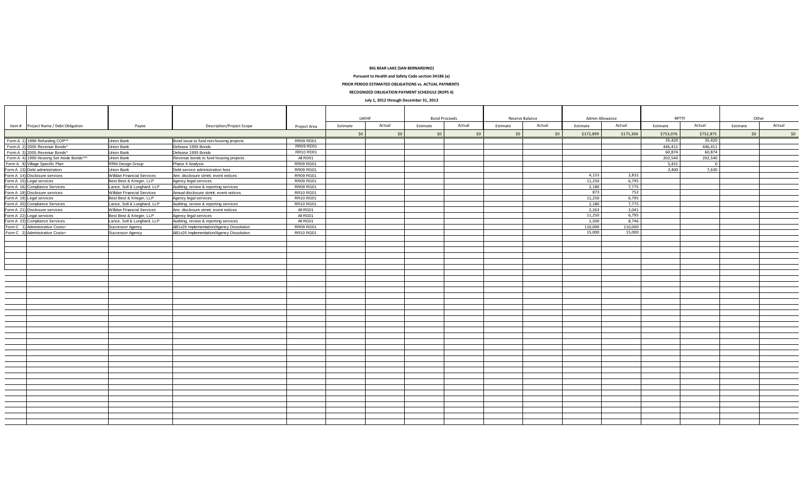**BIG BEAR LAKE (SAN BERNARDINO)**

**Pursuant to Health and Safety Code section 34186 (a)**

**PRIOR PERIOD ESTIMATED OBLIGATIONS vs. ACTUAL PAYMENTS**

**RECOGNIZED OBLIGATION PAYMENT SCHEDULE (ROPS II)**

#### **July 1, 2012 through December 31, 2012**

|                                                                                                                                  |                                   |                                          |                  |          | LMIHF  |          | <b>Bond Proceeds</b><br>Reserve Balance |          |        | Admin Allowance |           | RPTTF     |           | Other    |        |
|----------------------------------------------------------------------------------------------------------------------------------|-----------------------------------|------------------------------------------|------------------|----------|--------|----------|-----------------------------------------|----------|--------|-----------------|-----------|-----------|-----------|----------|--------|
| Item # Project Name / Debt Obligation                                                                                            | Payee                             | <b>Description/Project Scope</b>         | Project Area     | Estimate | Actual | Estimate | Actual                                  | Estimate | Actual | Estimate        | Actual    | Estimate  | Actual    | Estimate | Actual |
|                                                                                                                                  |                                   |                                          |                  | 50       | 50     | 50       | \$0                                     | 50       | 50     | \$172,899       | \$175,306 | \$753,076 | \$752,875 | 50       | \$0    |
| Form A 1) 1998 Refunding COPM                                                                                                    | Union Bank                        | Bond issue to fund non-housing projects  | <b>RR09 RD01</b> |          |        |          |                                         |          |        |                 |           | 35,420    | 35,420    |          |        |
| Form A 2) 2005 Revenue Bonds^                                                                                                    | Union Bank                        | Defease 1995 Bonds                       | <b>RR09 RD01</b> |          |        |          |                                         |          |        |                 |           | 446,411   | 446.411   |          |        |
| Form A 3) 2005 Revenue Bonds^                                                                                                    | Union Bank                        | Defease 1995 Bonds                       | <b>RR10 RD01</b> |          |        |          |                                         |          |        |                 |           | 60,874    | 60.874    |          |        |
| Form A 4) 1999 Housing Set Aside Bonds^^^                                                                                        | Union Bank                        | Revenue bonds to fund housing projects   | All RD01         |          |        |          |                                         |          |        |                 |           | 202,540   | 202,540   |          |        |
| Form A 9) Village Specific Plan                                                                                                  | <b>RRM Design Group</b>           | Phase II Analysis                        | <b>RR09 RG01</b> |          |        |          |                                         |          |        |                 |           | 5,431     |           |          |        |
|                                                                                                                                  | Union Bank                        | Debt service administration fees         | <b>RR09 RG01</b> |          |        |          |                                         |          |        |                 |           | 2,400     | 7,630     |          |        |
|                                                                                                                                  | <b>Willdan Financial Services</b> | Ann. disclosure stmnt; event notices     | <b>RR09 RG01</b> |          |        |          |                                         |          |        | 4,153           | 2,832     |           |           |          |        |
| Form A 13) Unebt administration<br>Form A 14) Disclosure services<br>Form A 15) Legal services<br>Form A 16) Compliance Services | Best Best & Krieger, LLP          | Agency legal services                    | <b>RR09 RG01</b> |          |        |          |                                         |          |        | 11,250          | 6,795     |           |           |          |        |
|                                                                                                                                  | Lance, Soll & Lunghard, LLP       | Auditing, review & reporting services    | <b>RR09 RG01</b> |          |        |          |                                         |          |        | 2,180           | 7,775     |           |           |          |        |
|                                                                                                                                  | <b>Willdan Financial Services</b> | Annual disclosure stmnt; event notices   | RR10 RG01        |          |        |          |                                         |          |        | 873             | 752       |           |           |          |        |
| Form A 18) Disclosure services<br>Form A 19) Legal services                                                                      | Best Best & Krieger, LLP          | Agency legal services                    | RR10 RG01        |          |        |          |                                         |          |        | 11,250          | 6,795     |           |           |          |        |
| Form A 20) Compliance Services                                                                                                   | Lance, Soll & Lunghard, LLP       | Auditing, review & reporting services    | <b>RR10 RG01</b> |          |        |          |                                         |          |        | 2,180           | 7.775     |           |           |          |        |
| Form A 21) Disclosure services                                                                                                   | <b>Willdan Financial Services</b> | Ann. disclosure stmnt; event notices     | All RG01         |          |        |          |                                         |          |        | 2,263           | 2,041     |           |           |          |        |
| Form A 22) Legal services                                                                                                        | Best Best & Krieger, LLP          | Agency legal services                    | All RG01         |          |        |          |                                         |          |        | 11,250          | 6,795     |           |           |          |        |
| Form A 23) Compliance Services                                                                                                   | Lance, Soll & Lunghard, LLP       | Auditing, review & reporting services    | All RG01         |          |        |          |                                         |          |        | 2,500           | 8,746     |           |           |          |        |
| Form C 1) Administrative Costs+                                                                                                  | Successor Agency                  | AB1x26 Implementation/Agency Dissolution | <b>RR09 RG01</b> |          |        |          |                                         |          |        | 110,000         | 110,000   |           |           |          |        |
| Form C 2) Administrative Costs+                                                                                                  | Successor Agency                  | AB1x26 Implementation/Agency Dissolution | RR10 RG01        |          |        |          |                                         |          |        | 15,000          | 15,000    |           |           |          |        |
|                                                                                                                                  |                                   |                                          |                  |          |        |          |                                         |          |        |                 |           |           |           |          |        |
|                                                                                                                                  |                                   |                                          |                  |          |        |          |                                         |          |        |                 |           |           |           |          |        |
|                                                                                                                                  |                                   |                                          |                  |          |        |          |                                         |          |        |                 |           |           |           |          |        |
|                                                                                                                                  |                                   |                                          |                  |          |        |          |                                         |          |        |                 |           |           |           |          |        |
|                                                                                                                                  |                                   |                                          |                  |          |        |          |                                         |          |        |                 |           |           |           |          |        |
|                                                                                                                                  |                                   |                                          |                  |          |        |          |                                         |          |        |                 |           |           |           |          |        |
|                                                                                                                                  |                                   |                                          |                  |          |        |          |                                         |          |        |                 |           |           |           |          |        |
|                                                                                                                                  |                                   |                                          |                  |          |        |          |                                         |          |        |                 |           |           |           |          |        |
|                                                                                                                                  |                                   |                                          |                  |          |        |          |                                         |          |        |                 |           |           |           |          |        |
|                                                                                                                                  |                                   |                                          |                  |          |        |          |                                         |          |        |                 |           |           |           |          |        |
|                                                                                                                                  |                                   |                                          |                  |          |        |          |                                         |          |        |                 |           |           |           |          |        |
|                                                                                                                                  |                                   |                                          |                  |          |        |          |                                         |          |        |                 |           |           |           |          |        |
|                                                                                                                                  |                                   |                                          |                  |          |        |          |                                         |          |        |                 |           |           |           |          |        |
|                                                                                                                                  |                                   |                                          |                  |          |        |          |                                         |          |        |                 |           |           |           |          |        |
|                                                                                                                                  |                                   |                                          |                  |          |        |          |                                         |          |        |                 |           |           |           |          |        |
|                                                                                                                                  |                                   |                                          |                  |          |        |          |                                         |          |        |                 |           |           |           |          |        |
|                                                                                                                                  |                                   |                                          |                  |          |        |          |                                         |          |        |                 |           |           |           |          |        |
|                                                                                                                                  |                                   |                                          |                  |          |        |          |                                         |          |        |                 |           |           |           |          |        |
|                                                                                                                                  |                                   |                                          |                  |          |        |          |                                         |          |        |                 |           |           |           |          |        |
|                                                                                                                                  |                                   |                                          |                  |          |        |          |                                         |          |        |                 |           |           |           |          |        |
|                                                                                                                                  |                                   |                                          |                  |          |        |          |                                         |          |        |                 |           |           |           |          |        |
|                                                                                                                                  |                                   |                                          |                  |          |        |          |                                         |          |        |                 |           |           |           |          |        |
|                                                                                                                                  |                                   |                                          |                  |          |        |          |                                         |          |        |                 |           |           |           |          |        |
|                                                                                                                                  |                                   |                                          |                  |          |        |          |                                         |          |        |                 |           |           |           |          |        |
|                                                                                                                                  |                                   |                                          |                  |          |        |          |                                         |          |        |                 |           |           |           |          |        |
|                                                                                                                                  |                                   |                                          |                  |          |        |          |                                         |          |        |                 |           |           |           |          |        |
|                                                                                                                                  |                                   |                                          |                  |          |        |          |                                         |          |        |                 |           |           |           |          |        |
|                                                                                                                                  |                                   |                                          |                  |          |        |          |                                         |          |        |                 |           |           |           |          |        |
|                                                                                                                                  |                                   |                                          |                  |          |        |          |                                         |          |        |                 |           |           |           |          |        |
|                                                                                                                                  |                                   |                                          |                  |          |        |          |                                         |          |        |                 |           |           |           |          |        |
|                                                                                                                                  |                                   |                                          |                  |          |        |          |                                         |          |        |                 |           |           |           |          |        |
|                                                                                                                                  |                                   |                                          |                  |          |        |          |                                         |          |        |                 |           |           |           |          |        |
|                                                                                                                                  |                                   |                                          |                  |          |        |          |                                         |          |        |                 |           |           |           |          |        |
|                                                                                                                                  |                                   |                                          |                  |          |        |          |                                         |          |        |                 |           |           |           |          |        |